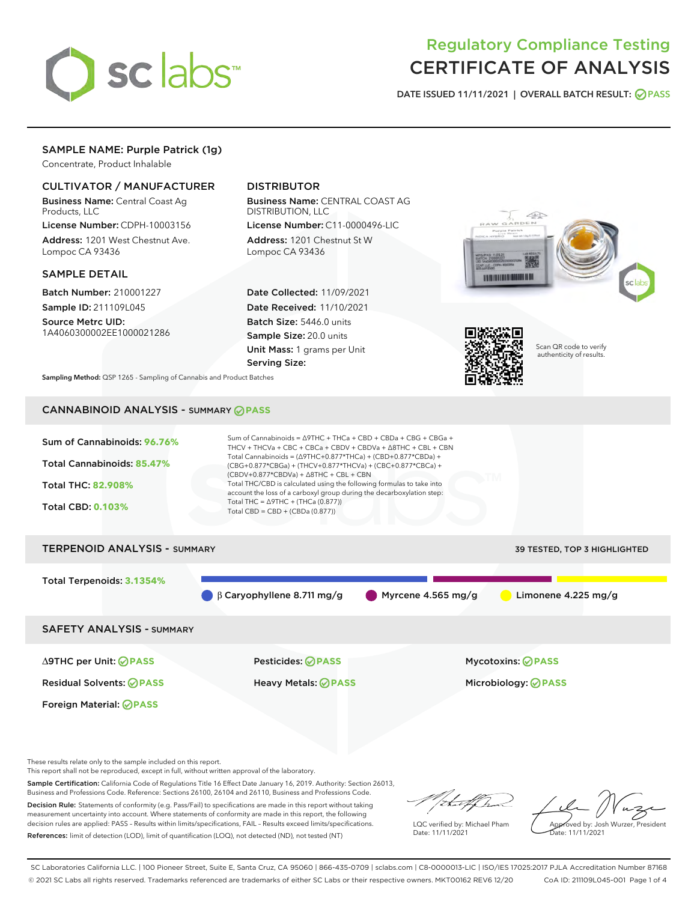

# Regulatory Compliance Testing CERTIFICATE OF ANALYSIS

DATE ISSUED 11/11/2021 | OVERALL BATCH RESULT: @ PASS

# SAMPLE NAME: Purple Patrick (1g)

Concentrate, Product Inhalable

# CULTIVATOR / MANUFACTURER

Business Name: Central Coast Ag Products, LLC

License Number: CDPH-10003156 Address: 1201 West Chestnut Ave. Lompoc CA 93436

#### SAMPLE DETAIL

Batch Number: 210001227 Sample ID: 211109L045

Source Metrc UID: 1A4060300002EE1000021286

# DISTRIBUTOR

Business Name: CENTRAL COAST AG DISTRIBUTION, LLC License Number: C11-0000496-LIC

Address: 1201 Chestnut St W Lompoc CA 93436

Date Collected: 11/09/2021 Date Received: 11/10/2021 Batch Size: 5446.0 units Sample Size: 20.0 units Unit Mass: 1 grams per Unit Serving Size:





Scan QR code to verify authenticity of results.

Sampling Method: QSP 1265 - Sampling of Cannabis and Product Batches

# CANNABINOID ANALYSIS - SUMMARY **PASS**



These results relate only to the sample included on this report.

This report shall not be reproduced, except in full, without written approval of the laboratory.

Sample Certification: California Code of Regulations Title 16 Effect Date January 16, 2019. Authority: Section 26013, Business and Professions Code. Reference: Sections 26100, 26104 and 26110, Business and Professions Code. Decision Rule: Statements of conformity (e.g. Pass/Fail) to specifications are made in this report without taking

measurement uncertainty into account. Where statements of conformity are made in this report, the following decision rules are applied: PASS – Results within limits/specifications, FAIL – Results exceed limits/specifications. References: limit of detection (LOD), limit of quantification (LOQ), not detected (ND), not tested (NT)

that f(ha

LQC verified by: Michael Pham Date: 11/11/2021

Approved by: Josh Wurzer, President ate: 11/11/2021

SC Laboratories California LLC. | 100 Pioneer Street, Suite E, Santa Cruz, CA 95060 | 866-435-0709 | sclabs.com | C8-0000013-LIC | ISO/IES 17025:2017 PJLA Accreditation Number 87168 © 2021 SC Labs all rights reserved. Trademarks referenced are trademarks of either SC Labs or their respective owners. MKT00162 REV6 12/20 CoA ID: 211109L045-001 Page 1 of 4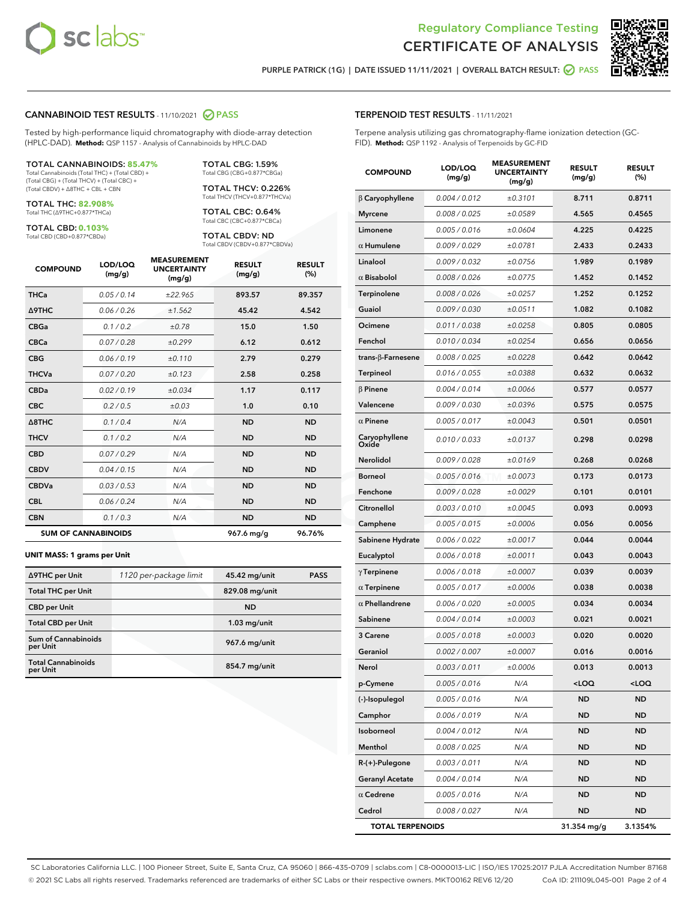



PURPLE PATRICK (1G) | DATE ISSUED 11/11/2021 | OVERALL BATCH RESULT: @ PASS

#### CANNABINOID TEST RESULTS - 11/10/2021 2 PASS

Tested by high-performance liquid chromatography with diode-array detection (HPLC-DAD). **Method:** QSP 1157 - Analysis of Cannabinoids by HPLC-DAD

#### TOTAL CANNABINOIDS: **85.47%**

Total Cannabinoids (Total THC) + (Total CBD) + (Total CBG) + (Total THCV) + (Total CBC) + (Total CBDV) + ∆8THC + CBL + CBN

TOTAL THC: **82.908%** Total THC (∆9THC+0.877\*THCa)

TOTAL CBD: **0.103%** Total CBD (CBD+0.877\*CBDa)

TOTAL THCV: 0.226% Total THCV (THCV+0.877\*THCVa)

> TOTAL CBC: 0.64% Total CBC (CBC+0.877\*CBCa)

TOTAL CBG: 1.59% Total CBG (CBG+0.877\*CBGa)

TOTAL CBDV: ND Total CBDV (CBDV+0.877\*CBDVa)

| <b>COMPOUND</b>            | LOD/LOQ<br>(mg/g) | <b>MEASUREMENT</b><br><b>UNCERTAINTY</b><br>(mg/g) | <b>RESULT</b><br>(mg/g) | <b>RESULT</b><br>(%) |
|----------------------------|-------------------|----------------------------------------------------|-------------------------|----------------------|
| <b>THCa</b>                | 0.05/0.14         | ±22.965                                            | 893.57                  | 89.357               |
| <b>A9THC</b>               | 0.06 / 0.26       | ±1.562                                             | 45.42                   | 4.542                |
| <b>CBGa</b>                | 0.1 / 0.2         | ±0.78                                              | 15.0                    | 1.50                 |
| <b>CBCa</b>                | 0.07 / 0.28       | ±0.299                                             | 6.12                    | 0.612                |
| <b>CBG</b>                 | 0.06/0.19         | ±0.110                                             | 2.79                    | 0.279                |
| <b>THCVa</b>               | 0.07/0.20         | ±0.123                                             | 2.58                    | 0.258                |
| <b>CBDa</b>                | 0.02/0.19         | ±0.034                                             | 1.17                    | 0.117                |
| <b>CBC</b>                 | 0.2 / 0.5         | ±0.03                                              | 1.0                     | 0.10                 |
| $\triangle$ 8THC           | 0.1 / 0.4         | N/A                                                | <b>ND</b>               | <b>ND</b>            |
| <b>THCV</b>                | 0.1/0.2           | N/A                                                | <b>ND</b>               | <b>ND</b>            |
| <b>CBD</b>                 | 0.07/0.29         | N/A                                                | <b>ND</b>               | <b>ND</b>            |
| <b>CBDV</b>                | 0.04 / 0.15       | N/A                                                | <b>ND</b>               | <b>ND</b>            |
| <b>CBDVa</b>               | 0.03/0.53         | N/A                                                | <b>ND</b>               | <b>ND</b>            |
| <b>CBL</b>                 | 0.06 / 0.24       | N/A                                                | <b>ND</b>               | <b>ND</b>            |
| <b>CBN</b>                 | 0.1/0.3           | N/A                                                | <b>ND</b>               | <b>ND</b>            |
| <b>SUM OF CANNABINOIDS</b> |                   |                                                    | 967.6 mg/g              | 96.76%               |

#### **UNIT MASS: 1 grams per Unit**

| ∆9THC per Unit                        | 1120 per-package limit | 45.42 mg/unit  | <b>PASS</b> |
|---------------------------------------|------------------------|----------------|-------------|
| <b>Total THC per Unit</b>             |                        | 829.08 mg/unit |             |
| <b>CBD per Unit</b>                   |                        | <b>ND</b>      |             |
| <b>Total CBD per Unit</b>             |                        | $1.03$ mg/unit |             |
| Sum of Cannabinoids<br>per Unit       |                        | 967.6 mg/unit  |             |
| <b>Total Cannabinoids</b><br>per Unit |                        | 854.7 mg/unit  |             |

## TERPENOID TEST RESULTS - 11/11/2021

Terpene analysis utilizing gas chromatography-flame ionization detection (GC-FID). **Method:** QSP 1192 - Analysis of Terpenoids by GC-FID

| <b>COMPOUND</b>         | LOD/LOQ<br>(mg/g) | <b>MEASUREMENT</b><br><b>UNCERTAINTY</b><br>(mg/g) | <b>RESULT</b><br>(mg/g)                         | <b>RESULT</b><br>(%) |
|-------------------------|-------------------|----------------------------------------------------|-------------------------------------------------|----------------------|
| $\beta$ Caryophyllene   | 0.004 / 0.012     | ±0.3101                                            | 8.711                                           | 0.8711               |
| <b>Myrcene</b>          | 0.008 / 0.025     | ±0.0589                                            | 4.565                                           | 0.4565               |
| Limonene                | 0.005 / 0.016     | ±0.0604                                            | 4.225                                           | 0.4225               |
| $\alpha$ Humulene       | 0.009 / 0.029     | ±0.0781                                            | 2.433                                           | 0.2433               |
| Linalool                | 0.009 / 0.032     | ±0.0756                                            | 1.989                                           | 0.1989               |
| $\alpha$ Bisabolol      | 0.008 / 0.026     | ±0.0775                                            | 1.452                                           | 0.1452               |
| Terpinolene             | 0.008 / 0.026     | ±0.0257                                            | 1.252                                           | 0.1252               |
| Guaiol                  | 0.009 / 0.030     | ±0.0511                                            | 1.082                                           | 0.1082               |
| Ocimene                 | 0.011 / 0.038     | ±0.0258                                            | 0.805                                           | 0.0805               |
| Fenchol                 | 0.010 / 0.034     | ±0.0254                                            | 0.656                                           | 0.0656               |
| trans-β-Farnesene       | 0.008 / 0.025     | ±0.0228                                            | 0.642                                           | 0.0642               |
| Terpineol               | 0.016 / 0.055     | ±0.0388                                            | 0.632                                           | 0.0632               |
| $\beta$ Pinene          | 0.004 / 0.014     | ±0.0066                                            | 0.577                                           | 0.0577               |
| Valencene               | 0.009 / 0.030     | ±0.0396                                            | 0.575                                           | 0.0575               |
| $\alpha$ Pinene         | 0.005 / 0.017     | ±0.0043                                            | 0.501                                           | 0.0501               |
| Caryophyllene<br>Oxide  | 0.010 / 0.033     | ±0.0137                                            | 0.298                                           | 0.0298               |
| Nerolidol               | 0.009 / 0.028     | ±0.0169                                            | 0.268                                           | 0.0268               |
| <b>Borneol</b>          | 0.005 / 0.016     | ±0.0073                                            | 0.173                                           | 0.0173               |
| Fenchone                | 0.009 / 0.028     | ±0.0029                                            | 0.101                                           | 0.0101               |
| Citronellol             | 0.003 / 0.010     | ±0.0045                                            | 0.093                                           | 0.0093               |
| Camphene                | 0.005 / 0.015     | ±0.0006                                            | 0.056                                           | 0.0056               |
| Sabinene Hydrate        | 0.006 / 0.022     | ±0.0017                                            | 0.044                                           | 0.0044               |
| Eucalyptol              | 0.006 / 0.018     | ±0.0011                                            | 0.043                                           | 0.0043               |
| $\gamma$ Terpinene      | 0.006 / 0.018     | ±0.0007                                            | 0.039                                           | 0.0039               |
| $\alpha$ Terpinene      | 0.005 / 0.017     | ±0.0006                                            | 0.038                                           | 0.0038               |
| $\alpha$ Phellandrene   | 0.006 / 0.020     | ±0.0005                                            | 0.034                                           | 0.0034               |
| Sabinene                | 0.004 / 0.014     | ±0.0003                                            | 0.021                                           | 0.0021               |
| 3 Carene                | 0.005 / 0.018     | ±0.0003                                            | 0.020                                           | 0.0020               |
| Geraniol                | 0.002 / 0.007     | ±0.0007                                            | 0.016                                           | 0.0016               |
| Nerol                   | 0.003 / 0.011     | ±0.0006                                            | 0.013                                           | 0.0013               |
| p-Cymene                | 0.005 / 0.016     | N/A                                                | <loq< th=""><th><loq< th=""></loq<></th></loq<> | <loq< th=""></loq<>  |
| (-)-Isopulegol          | 0.005 / 0.016     | N/A                                                | ND                                              | ND                   |
| Camphor                 | 0.006 / 0.019     | N/A                                                | ND                                              | ND                   |
| Isoborneol              | 0.004 / 0.012     | N/A                                                | ND                                              | ND                   |
| Menthol                 | 0.008 / 0.025     | N/A                                                | ND                                              | ND                   |
| R-(+)-Pulegone          | 0.003 / 0.011     | N/A                                                | ND                                              | ND                   |
| <b>Geranyl Acetate</b>  | 0.004 / 0.014     | N/A                                                | ND                                              | ND                   |
| $\alpha$ Cedrene        | 0.005 / 0.016     | N/A                                                | ND                                              | ND                   |
| Cedrol                  | 0.008 / 0.027     | N/A                                                | ND                                              | ND                   |
| <b>TOTAL TERPENOIDS</b> |                   |                                                    | 31.354 mg/g                                     | 3.1354%              |

SC Laboratories California LLC. | 100 Pioneer Street, Suite E, Santa Cruz, CA 95060 | 866-435-0709 | sclabs.com | C8-0000013-LIC | ISO/IES 17025:2017 PJLA Accreditation Number 87168 © 2021 SC Labs all rights reserved. Trademarks referenced are trademarks of either SC Labs or their respective owners. MKT00162 REV6 12/20 CoA ID: 211109L045-001 Page 2 of 4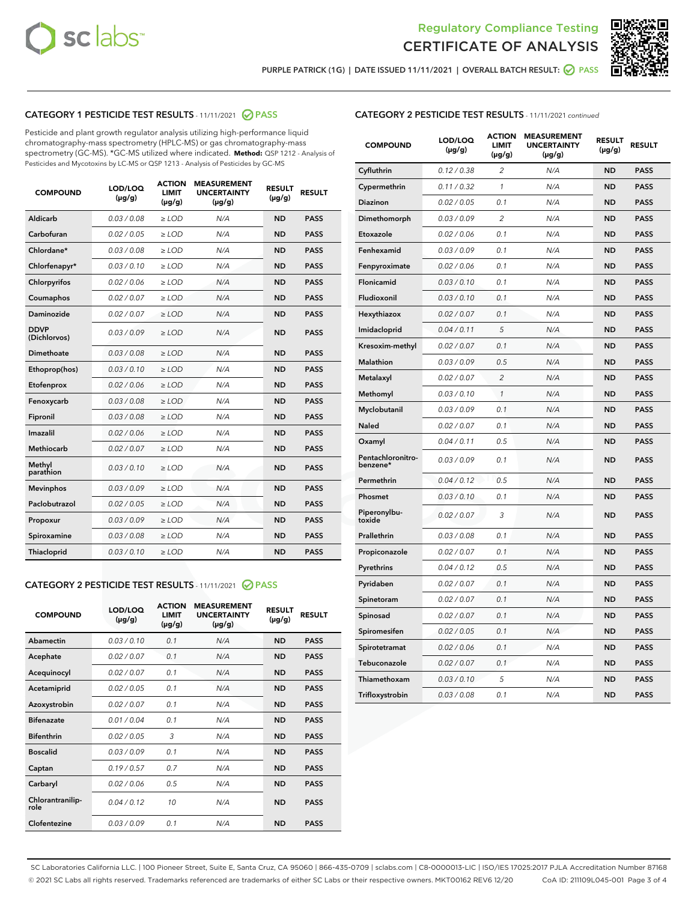



PURPLE PATRICK (1G) | DATE ISSUED 11/11/2021 | OVERALL BATCH RESULT:  $\bigcirc$  PASS

# CATEGORY 1 PESTICIDE TEST RESULTS - 11/11/2021 2 PASS

Pesticide and plant growth regulator analysis utilizing high-performance liquid chromatography-mass spectrometry (HPLC-MS) or gas chromatography-mass spectrometry (GC-MS). \*GC-MS utilized where indicated. **Method:** QSP 1212 - Analysis of Pesticides and Mycotoxins by LC-MS or QSP 1213 - Analysis of Pesticides by GC-MS

| <b>COMPOUND</b>             | LOD/LOQ<br>$(\mu g/g)$ | <b>ACTION</b><br><b>LIMIT</b><br>$(\mu g/g)$ | <b>MEASUREMENT</b><br><b>UNCERTAINTY</b><br>$(\mu g/g)$ | <b>RESULT</b><br>$(\mu g/g)$ | <b>RESULT</b> |
|-----------------------------|------------------------|----------------------------------------------|---------------------------------------------------------|------------------------------|---------------|
| Aldicarb                    | 0.03 / 0.08            | $\geq$ LOD                                   | N/A                                                     | <b>ND</b>                    | <b>PASS</b>   |
| Carbofuran                  | 0.02/0.05              | $>$ LOD                                      | N/A                                                     | <b>ND</b>                    | <b>PASS</b>   |
| Chlordane*                  | 0.03 / 0.08            | $\ge$ LOD                                    | N/A                                                     | <b>ND</b>                    | <b>PASS</b>   |
| Chlorfenapyr*               | 0.03/0.10              | $>$ LOD                                      | N/A                                                     | <b>ND</b>                    | <b>PASS</b>   |
| Chlorpyrifos                | 0.02 / 0.06            | $\ge$ LOD                                    | N/A                                                     | <b>ND</b>                    | <b>PASS</b>   |
| Coumaphos                   | 0.02 / 0.07            | $\ge$ LOD                                    | N/A                                                     | <b>ND</b>                    | <b>PASS</b>   |
| Daminozide                  | 0.02 / 0.07            | $\ge$ LOD                                    | N/A                                                     | <b>ND</b>                    | <b>PASS</b>   |
| <b>DDVP</b><br>(Dichlorvos) | 0.03/0.09              | $\ge$ LOD                                    | N/A                                                     | <b>ND</b>                    | <b>PASS</b>   |
| Dimethoate                  | 0.03/0.08              | $>$ LOD                                      | N/A                                                     | <b>ND</b>                    | <b>PASS</b>   |
| Ethoprop(hos)               | 0.03/0.10              | $\ge$ LOD                                    | N/A                                                     | <b>ND</b>                    | <b>PASS</b>   |
| Etofenprox                  | 0.02 / 0.06            | $\ge$ LOD                                    | N/A                                                     | <b>ND</b>                    | <b>PASS</b>   |
| Fenoxycarb                  | 0.03 / 0.08            | $\ge$ LOD                                    | N/A                                                     | <b>ND</b>                    | <b>PASS</b>   |
| Fipronil                    | 0.03/0.08              | $>$ LOD                                      | N/A                                                     | <b>ND</b>                    | <b>PASS</b>   |
| Imazalil                    | 0.02 / 0.06            | $\ge$ LOD                                    | N/A                                                     | <b>ND</b>                    | <b>PASS</b>   |
| <b>Methiocarb</b>           | 0.02 / 0.07            | $\ge$ LOD                                    | N/A                                                     | <b>ND</b>                    | <b>PASS</b>   |
| Methyl<br>parathion         | 0.03/0.10              | $\ge$ LOD                                    | N/A                                                     | <b>ND</b>                    | <b>PASS</b>   |
| <b>Mevinphos</b>            | 0.03/0.09              | $>$ LOD                                      | N/A                                                     | <b>ND</b>                    | <b>PASS</b>   |
| Paclobutrazol               | 0.02 / 0.05            | $\ge$ LOD                                    | N/A                                                     | <b>ND</b>                    | <b>PASS</b>   |
| Propoxur                    | 0.03/0.09              | $\ge$ LOD                                    | N/A                                                     | <b>ND</b>                    | <b>PASS</b>   |
| Spiroxamine                 | 0.03 / 0.08            | $\ge$ LOD                                    | N/A                                                     | <b>ND</b>                    | <b>PASS</b>   |
| Thiacloprid                 | 0.03/0.10              | $\ge$ LOD                                    | N/A                                                     | <b>ND</b>                    | <b>PASS</b>   |

# CATEGORY 2 PESTICIDE TEST RESULTS - 11/11/2021 @ PASS

| <b>COMPOUND</b>          | LOD/LOO<br>$(\mu g/g)$ | <b>ACTION</b><br>LIMIT<br>$(\mu g/g)$ | <b>MEASUREMENT</b><br><b>UNCERTAINTY</b><br>$(\mu g/g)$ | <b>RESULT</b><br>$(\mu g/g)$ | <b>RESULT</b> |  |
|--------------------------|------------------------|---------------------------------------|---------------------------------------------------------|------------------------------|---------------|--|
| Abamectin                | 0.03/0.10              | 0.1                                   | N/A                                                     | <b>ND</b>                    | <b>PASS</b>   |  |
| Acephate                 | 0.02/0.07              | 0.1                                   | N/A                                                     | <b>ND</b>                    | <b>PASS</b>   |  |
| Acequinocyl              | 0.02/0.07              | 0.1                                   | N/A                                                     | <b>ND</b>                    | <b>PASS</b>   |  |
| Acetamiprid              | 0.02 / 0.05            | 0.1                                   | N/A                                                     | <b>ND</b>                    | <b>PASS</b>   |  |
| Azoxystrobin             | 0.02/0.07              | 0.1                                   | N/A                                                     | <b>ND</b>                    | <b>PASS</b>   |  |
| <b>Bifenazate</b>        | 0.01 / 0.04            | 0.1                                   | N/A                                                     | <b>ND</b>                    | <b>PASS</b>   |  |
| <b>Bifenthrin</b>        | 0.02/0.05              | 3                                     | N/A                                                     | <b>ND</b>                    | <b>PASS</b>   |  |
| <b>Boscalid</b>          | 0.03/0.09              | 0.1                                   | N/A                                                     | <b>ND</b>                    | <b>PASS</b>   |  |
| Captan                   | 0.19/0.57              | 0.7                                   | N/A                                                     | <b>ND</b>                    | <b>PASS</b>   |  |
| Carbaryl                 | 0.02/0.06              | 0.5                                   | N/A                                                     | <b>ND</b>                    | <b>PASS</b>   |  |
| Chlorantranilip-<br>role | 0.04/0.12              | 10                                    | N/A                                                     | <b>ND</b>                    | <b>PASS</b>   |  |
| Clofentezine             | 0.03/0.09              | 0.1                                   | N/A                                                     | <b>ND</b>                    | <b>PASS</b>   |  |

# CATEGORY 2 PESTICIDE TEST RESULTS - 11/11/2021 continued

| <b>COMPOUND</b>               | LOD/LOQ<br>(µg/g) | <b>ACTION</b><br><b>LIMIT</b><br>$(\mu g/g)$ | <b>MEASUREMENT</b><br><b>UNCERTAINTY</b><br>$(\mu g/g)$ | <b>RESULT</b><br>(µg/g) | <b>RESULT</b> |
|-------------------------------|-------------------|----------------------------------------------|---------------------------------------------------------|-------------------------|---------------|
| Cyfluthrin                    | 0.12 / 0.38       | $\overline{c}$                               | N/A                                                     | ND                      | <b>PASS</b>   |
| Cypermethrin                  | 0.11 / 0.32       | $\mathcal{I}$                                | N/A                                                     | ND                      | <b>PASS</b>   |
| <b>Diazinon</b>               | 0.02 / 0.05       | 0.1                                          | N/A                                                     | <b>ND</b>               | <b>PASS</b>   |
| Dimethomorph                  | 0.03 / 0.09       | 2                                            | N/A                                                     | ND                      | <b>PASS</b>   |
| Etoxazole                     | 0.02 / 0.06       | 0.1                                          | N/A                                                     | ND                      | <b>PASS</b>   |
| Fenhexamid                    | 0.03 / 0.09       | 0.1                                          | N/A                                                     | ND                      | <b>PASS</b>   |
| Fenpyroximate                 | 0.02 / 0.06       | 0.1                                          | N/A                                                     | <b>ND</b>               | <b>PASS</b>   |
| Flonicamid                    | 0.03 / 0.10       | 0.1                                          | N/A                                                     | ND                      | <b>PASS</b>   |
| Fludioxonil                   | 0.03 / 0.10       | 0.1                                          | N/A                                                     | ND                      | <b>PASS</b>   |
| Hexythiazox                   | 0.02 / 0.07       | 0.1                                          | N/A                                                     | ND                      | <b>PASS</b>   |
| Imidacloprid                  | 0.04 / 0.11       | 5                                            | N/A                                                     | ND                      | <b>PASS</b>   |
| Kresoxim-methyl               | 0.02 / 0.07       | 0.1                                          | N/A                                                     | ND                      | <b>PASS</b>   |
| Malathion                     | 0.03 / 0.09       | 0.5                                          | N/A                                                     | ND                      | <b>PASS</b>   |
| Metalaxyl                     | 0.02 / 0.07       | $\overline{c}$                               | N/A                                                     | ND                      | <b>PASS</b>   |
| Methomyl                      | 0.03 / 0.10       | $\mathbf{1}$                                 | N/A                                                     | ND                      | <b>PASS</b>   |
| Myclobutanil                  | 0.03 / 0.09       | 0.1                                          | N/A                                                     | <b>ND</b>               | <b>PASS</b>   |
| Naled                         | 0.02 / 0.07       | 0.1                                          | N/A                                                     | ND                      | <b>PASS</b>   |
| Oxamyl                        | 0.04 / 0.11       | 0.5                                          | N/A                                                     | ND                      | PASS          |
| Pentachloronitro-<br>benzene* | 0.03 / 0.09       | 0.1                                          | N/A                                                     | ND                      | <b>PASS</b>   |
| Permethrin                    | 0.04 / 0.12       | 0.5                                          | N/A                                                     | ND                      | <b>PASS</b>   |
| Phosmet                       | 0.03 / 0.10       | 0.1                                          | N/A                                                     | ND                      | <b>PASS</b>   |
| Piperonylbu-<br>toxide        | 0.02 / 0.07       | 3                                            | N/A                                                     | <b>ND</b>               | <b>PASS</b>   |
| Prallethrin                   | 0.03 / 0.08       | 0.1                                          | N/A                                                     | ND                      | <b>PASS</b>   |
| Propiconazole                 | 0.02 / 0.07       | 0.1                                          | N/A                                                     | <b>ND</b>               | <b>PASS</b>   |
| Pyrethrins                    | 0.04 / 0.12       | 0.5                                          | N/A                                                     | ND                      | <b>PASS</b>   |
| Pyridaben                     | 0.02 / 0.07       | 0.1                                          | N/A                                                     | <b>ND</b>               | <b>PASS</b>   |
| Spinetoram                    | 0.02 / 0.07       | 0.1                                          | N/A                                                     | ND                      | <b>PASS</b>   |
| Spinosad                      | 0.02 / 0.07       | 0.1                                          | N/A                                                     | ND                      | <b>PASS</b>   |
| Spiromesifen                  | 0.02 / 0.05       | 0.1                                          | N/A                                                     | <b>ND</b>               | <b>PASS</b>   |
| Spirotetramat                 | 0.02 / 0.06       | 0.1                                          | N/A                                                     | ND                      | <b>PASS</b>   |
| Tebuconazole                  | 0.02 / 0.07       | 0.1                                          | N/A                                                     | ND                      | <b>PASS</b>   |
| Thiamethoxam                  | 0.03 / 0.10       | 5                                            | N/A                                                     | <b>ND</b>               | <b>PASS</b>   |
| Trifloxystrobin               | 0.03 / 0.08       | 0.1                                          | N/A                                                     | <b>ND</b>               | <b>PASS</b>   |

SC Laboratories California LLC. | 100 Pioneer Street, Suite E, Santa Cruz, CA 95060 | 866-435-0709 | sclabs.com | C8-0000013-LIC | ISO/IES 17025:2017 PJLA Accreditation Number 87168 © 2021 SC Labs all rights reserved. Trademarks referenced are trademarks of either SC Labs or their respective owners. MKT00162 REV6 12/20 CoA ID: 211109L045-001 Page 3 of 4